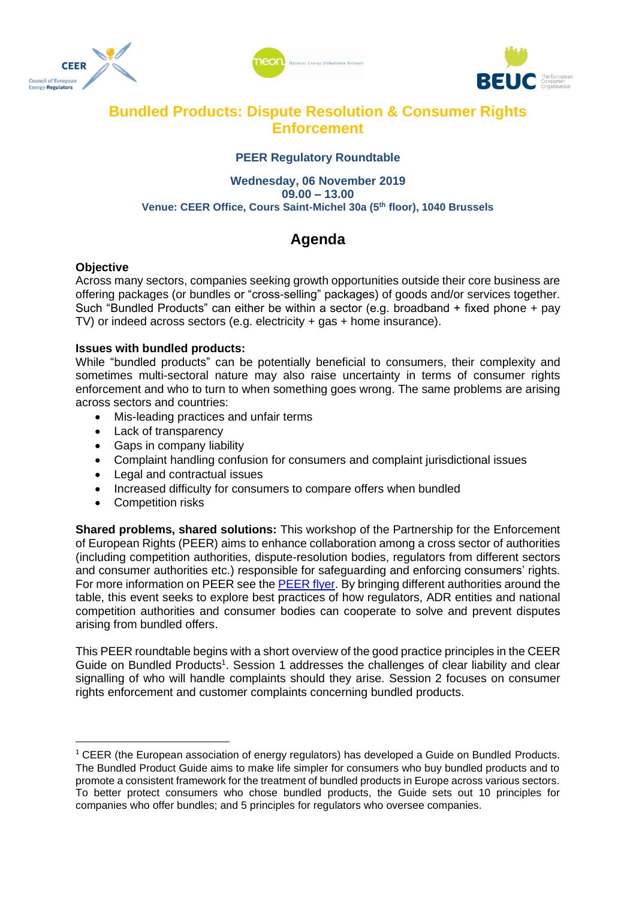





### **Bundled Products: Dispute Resolution & Consumer Rights Enforcement**

#### **PEER Regulatory Roundtable**

#### **Wednesday, 06 November 2019 09.00 – 13.00 Venue: CEER Office, Cours Saint-Michel 30a (5th floor), 1040 Brussels**

# **Agenda**

#### **Objective**

Across many sectors, companies seeking growth opportunities outside their core business are offering packages (or bundles or "cross-selling" packages) of goods and/or services together. Such "Bundled Products" can either be within a sector (e.g. broadband + fixed phone + pay TV) or indeed across sectors (e.g. electricity + gas + home insurance).

#### **Issues with bundled products:**

While "bundled products" can be potentially beneficial to consumers, their complexity and sometimes multi-sectoral nature may also raise uncertainty in terms of consumer rights enforcement and who to turn to when something goes wrong. The same problems are arising across sectors and countries:

- Mis-leading practices and unfair terms
- Lack of transparency
- Gaps in company liability
- Complaint handling confusion for consumers and complaint jurisdictional issues
- Legal and contractual issues
- Increased difficulty for consumers to compare offers when bundled
- Competition risks

**Shared problems, shared solutions:** This workshop of the Partnership for the Enforcement of European Rights (PEER) aims to enhance collaboration among a cross sector of authorities (including competition authorities, dispute-resolution bodies, regulators from different sectors and consumer authorities etc.) responsible for safeguarding and enforcing consumers' rights. For more information on PEER see the [PEER flyer.](https://www.ceer.eu/documents/104400/6120855/PEER+Brochure/7ebc5063-2cf8-2734-06a3-27d6580bac1e) By bringing different authorities around the table, this event seeks to explore best practices of how regulators, ADR entities and national competition authorities and consumer bodies can cooperate to solve and prevent disputes arising from bundled offers.

This PEER roundtable begins with a short overview of the good practice principles in the CEER Guide on Bundled Products<sup>1</sup>. Session 1 addresses the challenges of clear liability and clear signalling of who will handle complaints should they arise. Session 2 focuses on consumer rights enforcement and customer complaints concerning bundled products.

 $1$  CEER (the European association of energy regulators) has developed a Guide on Bundled Products. The Bundled Product Guide aims to make life simpler for consumers who buy bundled products and to promote a consistent framework for the treatment of bundled products in Europe across various sectors. To better protect consumers who chose bundled products, the Guide sets out 10 principles for companies who offer bundles; and 5 principles for regulators who oversee companies.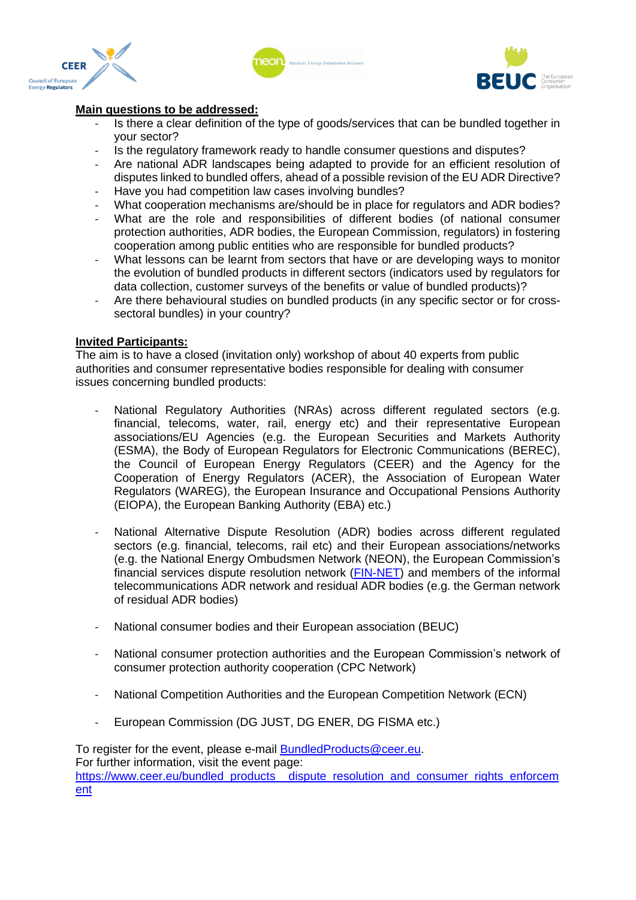





#### **Main questions to be addressed:**

- Is there a clear definition of the type of goods/services that can be bundled together in your sector?
- Is the regulatory framework ready to handle consumer questions and disputes?
- Are national ADR landscapes being adapted to provide for an efficient resolution of disputes linked to bundled offers, ahead of a possible revision of the EU ADR Directive?
- Have you had competition law cases involving bundles?
- What cooperation mechanisms are/should be in place for regulators and ADR bodies?
- What are the role and responsibilities of different bodies (of national consumer protection authorities, ADR bodies, the European Commission, regulators) in fostering cooperation among public entities who are responsible for bundled products?
- What lessons can be learnt from sectors that have or are developing ways to monitor the evolution of bundled products in different sectors (indicators used by regulators for data collection, customer surveys of the benefits or value of bundled products)?
- Are there behavioural studies on bundled products (in any specific sector or for crosssectoral bundles) in your country?

#### **Invited Participants:**

The aim is to have a closed (invitation only) workshop of about 40 experts from public authorities and consumer representative bodies responsible for dealing with consumer issues concerning bundled products:

- National Regulatory Authorities (NRAs) across different regulated sectors (e.g. financial, telecoms, water, rail, energy etc) and their representative European associations/EU Agencies (e.g. the European Securities and Markets Authority (ESMA), the Body of European Regulators for Electronic Communications (BEREC), the Council of European Energy Regulators (CEER) and the Agency for the Cooperation of Energy Regulators (ACER), the Association of European Water Regulators (WAREG), the European Insurance and Occupational Pensions Authority (EIOPA), the European Banking Authority (EBA) etc.)
- National Alternative Dispute Resolution (ADR) bodies across different regulated sectors (e.g. financial, telecoms, rail etc) and their European associations/networks (e.g. the National Energy Ombudsmen Network (NEON), the European Commission's financial services dispute resolution network [\(FIN-NET\)](https://ec.europa.eu/info/business-economy-euro/banking-and-finance/consumer-finance-and-payments/consumer-financial-services/financial-dispute-resolution-network-fin-net/fin-net-network/about-fin-net_en) and members of the informal telecommunications ADR network and residual ADR bodies (e.g. the German network of residual ADR bodies)
- National consumer bodies and their European association (BEUC)
- National consumer protection authorities and the European Commission's network of consumer protection authority cooperation (CPC Network)
- National Competition Authorities and the European Competition Network (ECN)
- European Commission (DG JUST, DG ENER, DG FISMA etc.)

To register for the event, please e-mail [BundledProducts@ceer.eu.](mailto:BundledProducts@ceer.eu) For further information, visit the event page: [https://www.ceer.eu/bundled\\_products\\_\\_dispute\\_resolution\\_and\\_consumer\\_rights\\_enforcem](https://www.ceer.eu/bundled_products__dispute_resolution_and_consumer_rights_enforcement) [ent](https://www.ceer.eu/bundled_products__dispute_resolution_and_consumer_rights_enforcement)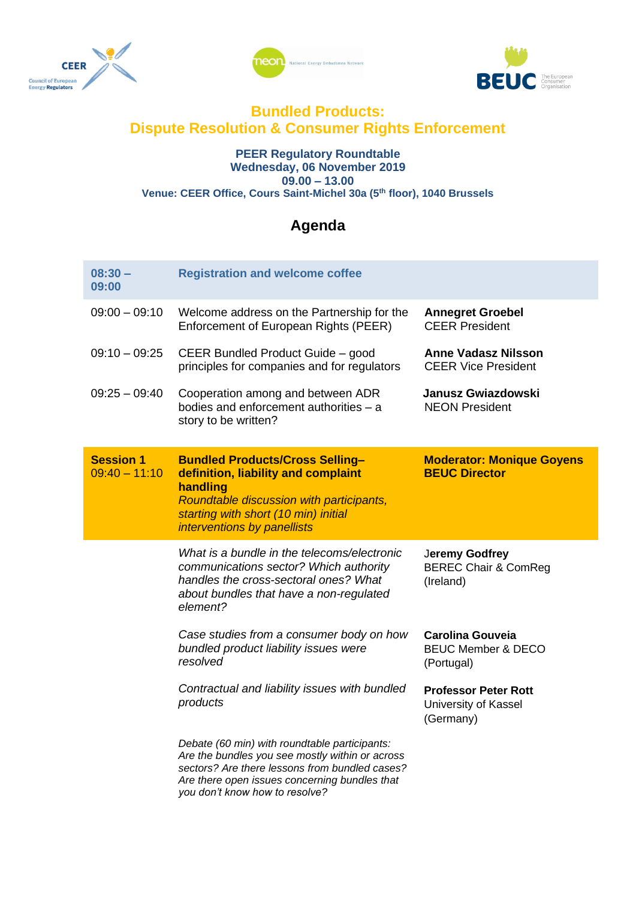





### **Bundled Products: Dispute Resolution & Consumer Rights Enforcement**

#### **PEER Regulatory Roundtable Wednesday, 06 November 2019 09.00 – 13.00 Venue: CEER Office, Cours Saint-Michel 30a (5th floor), 1040 Brussels**

## **Agenda**

| $08:30 -$<br>09:00                  | <b>Registration and welcome coffee</b>                                                                                                                                                                                                |                                                                        |
|-------------------------------------|---------------------------------------------------------------------------------------------------------------------------------------------------------------------------------------------------------------------------------------|------------------------------------------------------------------------|
| $09:00 - 09:10$                     | Welcome address on the Partnership for the<br>Enforcement of European Rights (PEER)                                                                                                                                                   | <b>Annegret Groebel</b><br><b>CEER President</b>                       |
| $09:10 - 09:25$                     | CEER Bundled Product Guide - good<br>principles for companies and for regulators                                                                                                                                                      | <b>Anne Vadasz Nilsson</b><br><b>CEER Vice President</b>               |
| $09:25 - 09:40$                     | Cooperation among and between ADR<br>bodies and enforcement authorities - a<br>story to be written?                                                                                                                                   | <b>Janusz Gwiazdowski</b><br><b>NEON President</b>                     |
| <b>Session 1</b><br>$09:40 - 11:10$ | <b>Bundled Products/Cross Selling-</b><br>definition, liability and complaint<br>handling<br>Roundtable discussion with participants,<br>starting with short (10 min) initial<br>interventions by panellists                          | <b>Moderator: Monique Goyens</b><br><b>BEUC Director</b>               |
|                                     | What is a bundle in the telecoms/electronic<br>communications sector? Which authority<br>handles the cross-sectoral ones? What<br>about bundles that have a non-regulated<br>element?                                                 | Jeremy Godfrey<br><b>BEREC Chair &amp; ComReg</b><br>(Ireland)         |
|                                     | Case studies from a consumer body on how<br>bundled product liability issues were<br>resolved                                                                                                                                         | <b>Carolina Gouveia</b><br><b>BEUC Member &amp; DECO</b><br>(Portugal) |
|                                     | Contractual and liability issues with bundled<br>products                                                                                                                                                                             | <b>Professor Peter Rott</b><br>University of Kassel<br>(Germany)       |
|                                     | Debate (60 min) with roundtable participants:<br>Are the bundles you see mostly within or across<br>sectors? Are there lessons from bundled cases?<br>Are there open issues concerning bundles that<br>you don't know how to resolve? |                                                                        |